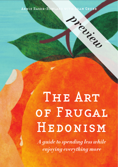#### Annie Raser-Rowland with Adam Grubb

# The Art of Frugal Hedonisms and Art of Frugal Hedonisms and Art of Frugal Hedonisms and Art of Frugal Hedonisms OF FRUGAL THE ART Hedonism

*preview*

*A guide to spending less while enjoying everything more*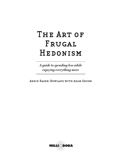### THE ART OF Frugal Hedonism

*A guide to spending less while enjoying everything more*

Annie Raser-Rowland with Adam Grubb

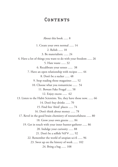### CONTENTS

About this book .... 8 1. Create your own normal ...... 14 2. Relish ...... 18 3. Be materialistic ...... 24 4. Have a lot of things you want to do with your freedom ...... 26 5. Hate waste .... 32 6. Recalibrate your senses ...... 38 7. Have an open relationship with recipes ...... 44 8. Don't be a sucker ...... 48 9. Stop reading those magazines ...... 52 10. Choose what you romanticise ...... 54 11. Beware Fake Frugal ...... 58 12. Enjoy excess ...... 62 13. Listen to the Habit Scientists. Yes, they have those now. ...... 66 14. Don't buy drinks ...... 70 15. Find free 'third' places ...... 74 16. Don't think about money ...... 78 17. Revel in the good brain chemistry of resourcefulness ...... 80 18. Grow your own greens ...... 84 19. Get in touch with your inner hunter-gatherer ...... 86 20. Indulge your curiosity ...... 88 21. Don't be a selfish %\$\*# ...... 92 22. Remember the world of utopian sci-fi ...... 96 23. Swot up on the history of work ...... 102 24. Bring a bag ...... 108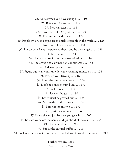25. Notice when you have enough ...... 110 26. Reinvent Christmas ...... 114 27. Be a character ...... 118 28. It won't be dull. We promise. ...... 120 29. Do business with friends ...... 124 30. People who need people are the luckiest people in the world ...... 128 31. Have a fine ol' peasant time ...... 134 32. Put on your favourite power anthem, and be the zeitgeist ...... 138 33. Travel cheap ...... 144 34. Liberate yourself from the terror of grime ...... 148 35. And a wee tiny comment on condiments ...... 152 36. Undercomplicate things ...... 154 37. Figure out what you really do enjoy spending money on ...... 158 38. Free up your frivolity ...... 162 39. Limit the burden of choice ...... 164 40. Don't be a snooty bum bum ...... 170 41. Self-propel ...... 174 42. Have less house ...... 180 43. Let yourself be grossed out ...... 184 44. Acclimatise to the seasons ...... 186 45. Some notes on style ...... 192 46. Save (on) the children ...... 196 47. Don't give up just because you gave in ...... 202 48. Bow down before the nanna and get ahead of the curve ...... 204 49. Give something ...... 208 50. Sup at the cultural buffet ...... 210 51. Look up, think about constellations. Look down, think about magma ...... 212

> Further resources 215 Source material 224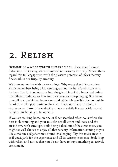## 2. Relish

'Relish' is a word worth musing upon. It can sound almost indecent, with its suggestion of immoderate sensory intensity. Your authors regard this full engagement with the pleasure potential of life as the very finest skill in our frugality armoury.

We humans are ripe with nerve endings. Why waste them? Your author Annie remembers being a kid running around the bulk foods store with her best friend, plunging arms into the giant bins of dry beans and rating the different varieties for how fun they were for arm-plunging. She seems to recall that the kidney beans won, and while it is possible that you might be asked to take your business elsewhere if you try this as an adult, it does serve to illustrate how thickly strewn our daily lives are with sensual delights just begging to be noticed.

If you are walking home on one of those scorched afternoons where the heat is shimmering and your muscles are all warm and loose and the air is heavy with eucalyptus oils being baked out of the street trees, you might as well choose to enjoy all that sensory information coming at you like a molten sledgehammer. Sound challenging? Try this trick: treat it as if you'd *paid* for the experience and all its sensory elements. Soak it up with relish, and notice that you do not have to buy something to actively consume it.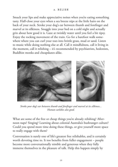Smack your lips and make appreciative noises when you're eating something tasty. Half-close your eyes when a sea breeze nips at the little hairs on the back of your neck. Stroke your dog's ear between thumb and forefinger and marvel at its silkiness. Snuggle into your bed on a cold night and actually grin about how good it is. Gaze at twinkly water until you feel a bit tipsy. Enjoy the rocking movement of the train. Go for a barefoot walk somewhere where you can curl your toes into brittle grass, mud or sand. Listen to music while doing nothing else at all. Call it mindfulness, call it living in the moment, call it relishing – it's recommended by psychiatrists, hedonists, Buddhist monks and cheapskates alike.



*Stroke your dog's ear between thumb and forefinger and marvel at its silkiness... Human earlobes also good.*

What are some of the free or cheap things you're already relishing? Afternoon naps? Singing? Learning about colonial Australia's bushranger culture? Could you spend more time doing these things, or give yourself more space to really engage with them?

Conversation is surely one of life's greatest free relishables, and is certainly worth devoting time to. It too benefits from fuller engagement – people become more conversationally nimble and generous when they fully immerse themselves in the pleasure of talk. Help this happen simply by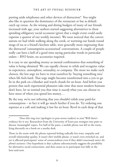putting aside telephones and other devices of distraction\*. You might also like to question the dominance of the restaurant or bar as default catch up venue. As the wining and dining budgets of many of our friends increased with age, your authors started suggesting alternatives to these spending-obligatory social occasions (given that a single event could easily vaporise a quarter of our weekly income). We soon noticed that the conversations we had while walking along the creek, or warming our hands round mugs of tea at a friend's kitchen table, were generally more engrossing than the distracted 'consumption-accessorised' conversations. A couple of people really can have a hell of a good time saying particular words in particular orders – BYO brain, no accessories required.

It is easy to use spending money as mental confirmation that something of value is being obtained. We can equally choose to relish and recognize value in experience, atmosphere, sensuality, or company. The more we make such choices, the less urge we have to treat ourselves by 'buying something nice' when life feels hard. That urge might become transformed into a yen to go lie in the park on a blanket and watch clouds for an hour. And before you protest that such experiential pleasures take time that most modern humans don't have, let us remind you that time is *exactly* what you can choose to have more of when you spend less money…

By the way, we're not inferring that you *shouldn't* relish your paid-for consumption – in fact it will go much further if you do. Try ordering one espresso at a café and making it last for an hour. Revel in each drop of that

Does this ring true (apologies to pun-averse readers) to you? Well there's evidence for it too. Researchers from the University of Essex put strangers into pairs to discuss 'meaningful' topics. For half of the pairs, a mobile phone was left in the room, lying discreetly on a book on a nearby desk.

Those in the room with the phone reported feeling radically less trust, empathy and overall relationship quality. It wasn't *their* mobile phone, it wasn't even switched on, and yet it affected participants' sense of connectedness even if they *didn't consciously notice the phone's existence*. One hypothesis is that a phone subconsciously suggests the possibility for alternative social connections, and thus causes us to participate less fully in the here-and-now.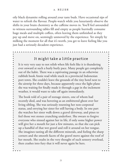oily black dynamite rolling around your taste buds. Have occasional sips of water to refresh the flavour. People-watch while you luxuriantly observe the shifts in your brain chemistry as the caffeine moves in. You'll feel astounded to witness surrounding tables fill and empty as people hurriedly consume huge meals and multiple coffees, often leaving them unfinished as they pay up and move on, seemingly unmoved by the experience. Yet simply by milking the moment for all that it's worth, you get to leave feeling like you just had a seriously decadent experience.

#### It might take a little practice

It is very very easy to not relish when life feels like it is thundering ever onward at such a hurly burly pace. Many people get completely out of the habit. There was a captivating passage in an otherwise rubbish book Annie read while stuck in a provincial Indonesian port town. She couldn't leave the grounds of the tiny hotel next to the airstrip for three days, because apparently once the light plane she was waiting for finally made it through a gap in the inclement weather, it would want to take off again immediately.

The book told of a pair of teenage sisters, one of whom had recently died, and was hovering as an embittered ghost over her living sibling. She was seriously resenting her non-corporeal status, and envying her sister for still having a body. In one part she watches her sister walk down a gravel driveway, and pines to feel those wet stones crunching underfoot. She swears to forgive everyone who sinned against her in life, if only some higher power will give her a mouth for just a few minutes, so that she can pick up a handful of that wet gravel and roll it around on her tongue. She imagines tasting all the different minerals, and feeling the sharp corners and the smooth facets of the gravel move against the roof of her mouth. She exults in the very thought of such sensory overload, then crashes into fury that it will never again be hers.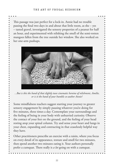This passage was just perfect for a lock-in. Annie had no trouble passing the final two days in and about that little room, as she – yes – tasted gravel, investigated the sensory properties of a peanut for half an hour, and experimented with relishing the smell of the semi-rotten mangoes fallen from the tree outside her window. She also worked on her one-arm pushups.



*...But is this the hand of that slightly twee cinematic heroine of relishment, Amélie, or is it the hand of your humble co-author Annie?*

Some mindfulness teachers suggest starting your journey to greater sensory engagement by simply pausing whatever you're doing for five minutes, three times a day. Contemplate your surroundings and the feeling of being in your body with unhurried curiosity. Observe the contact of your feet on the ground, and the feeling of your head resting atop your spinal column. Try and sense your heart and lungs in your chest, expanding and contracting in that ceaselessly helpful way they have.

Other practitioners prescribe an exercise with a raisin, where you focus on every detail of its appearance, texture and smell for two minutes, then spend another two minutes eating it. Your authors personally

prefer a cumquat. There really is *a lot* going on with a cumquat.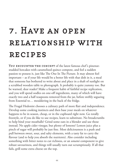## 7. Have an open relationship with recipes

YOU ENCOUNTER THE CONCEPT of the latest famous chef's pinenutstudded hotcakes with caramelised quince compote, and feel a sudden passion to possess it, just like The One In The Picture. It may almost feel important – as if your life would be a better life with that dish in it, a meal that someone has bothered to write about and place in a shaft of sunlight on a scrubbed wooden table to photograph. It probably is quite yummy too. But be warned, dear reader! Make a frequent habit of faithful recipe replication, and you will spend oodles on one-off ingredients, many of which will have exactly two and a half teaspoons removed from the jar, before swiftly segueing from Essential to… mouldering in the back of the fridge.

The Frugal Hedonist chooses a culinary path of more flair and independence. Develop some cooking instincts and then base your meals on whatever happens to be in season, cheap, or in the cupboard right now. Go totally freestyle, or if you do like to use recipes, learn to substitute. No breadcrumbs to help bind your meatballs? Grind some oats in a blender and use those instead. No apple cider vinegar, but plenty of lemons? Lemon juice plus a pinch of sugar will probably be just fine. Most deliciousness is a push and pull between sweet, sour, and salty elements, with a tasty fat to carry the flavour (and to help you absorb the nutrients). Also consider including something with bitter notes to cut richness, or an *umami* component to give robust savouriness, and things will usually turn out scrumptiously. If all that fails, grill some extra cheese on the top.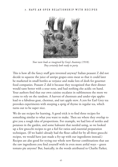

*Your taste buds as imagined by Gray's Anatomy (1918). They certainly look ready to party.*

This is how all the fancy stuff gets invented anyway! Italian peasant Z did not decide to squeeze the juice of unripe grapes onto meat so that it could later be marketed in small bottles as verjuice and make lots of dosh for gourmet food companies. Peasant Z did it because they recognized that their dinner would taste better with a sour note, and had nothing else acidic on hand. Your authors find that our own cuisine escalates in sublimeness the more we come to rely on the random. A harvest of chestnuts and under-ripe apples lead to a fabulous goat, chestnut, and tart apple stew. A yen for Earl Grey tea provokes experiments with steeping a sprig of thyme in regular tea, which turns out to be super nice.

We do use recipes for learning. A good trick is to find three recipes for something similar to what you want to make. Then see where they overlap to give you a rough idea of proportions. For example, we had lots of nettles and potatoes in the garden, and some haloumi that needed using, so we looked up a few gnocchi recipes to get a feel for ratios and essential preparation techniques. (If we hadn't already had the flour called for by all three gnocchi recipes, we would have just made a fry-up with our ingredients instead.) Recipes are also good for trying out whole new flavour combinations that use the raw ingredients you find yourself with in even more artful ways – green tomato pie anyone? But, basically, in the words attributed to Charlie Parker,